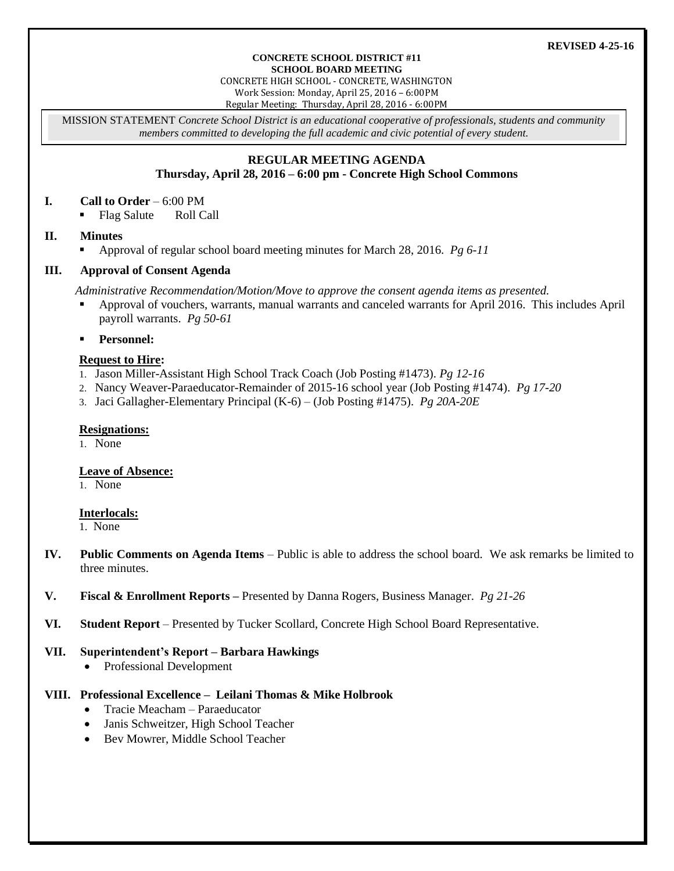#### **REVISED 4-25-16**

#### **CONCRETE SCHOOL DISTRICT #11 SCHOOL BOARD MEETING**

CONCRETE HIGH SCHOOL - CONCRETE, WASHINGTON Work Session: Monday, April 25, 2016 – 6:00PM

Regular Meeting: Thursday, April 28, 2016 - 6:00PM

MISSION STATEMENT *Concrete School District is an educational cooperative of professionals, students and community members committed to developing the full academic and civic potential of every student.*

# **REGULAR MEETING AGENDA**

# **Thursday, April 28, 2016 – 6:00 pm - Concrete High School Commons**

### **I. Call to Order** – 6:00 PM

• Flag Salute Roll Call

# **II. Minutes**

Approval of regular school board meeting minutes for March 28, 2016. *Pg 6-11*

# **III. Approval of Consent Agenda**

*Administrative Recommendation/Motion/Move to approve the consent agenda items as presented.*

- Approval of vouchers, warrants, manual warrants and canceled warrants for April 2016. This includes April payroll warrants. *Pg 50-61*
- **Personnel:**

# **Request to Hire:**

- 1. Jason Miller-Assistant High School Track Coach (Job Posting #1473). *Pg 12-16*
- 2. Nancy Weaver-Paraeducator-Remainder of 2015-16 school year (Job Posting #1474). *Pg 17-20*
- 3. Jaci Gallagher-Elementary Principal (K-6) (Job Posting #1475). *Pg 20A-20E*

## **Resignations:**

1. None

# **Leave of Absence:**

1. None

# **Interlocals:**

1. None

- **IV. Public Comments on Agenda Items** Public is able to address the school board. We ask remarks be limited to three minutes.
- **V. Fiscal & Enrollment Reports –** Presented by Danna Rogers, Business Manager. *Pg 21-26*
- **VI. Student Report** Presented by Tucker Scollard, Concrete High School Board Representative.

# **VII. Superintendent's Report – Barbara Hawkings**

• Professional Development

# **VIII. Professional Excellence – Leilani Thomas & Mike Holbrook**

- Tracie Meacham Paraeducator
- Janis Schweitzer, High School Teacher
- Bev Mowrer, Middle School Teacher